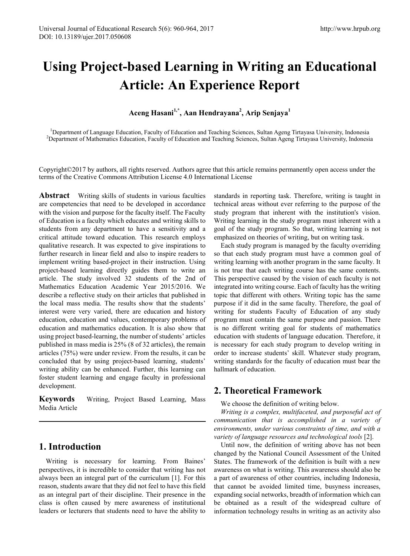# **Using Project-based Learning in Writing an Educational Article: An Experience Report**

# **Aceng Hasani1,\*, Aan Hendrayana2 , Arip Senjaya1**

<sup>1</sup>Department of Language Education, Faculty of Education and Teaching Sciences, Sultan Ageng Tirtayasa University, Indonesia<br><sup>2</sup>Department of Mathematics Education, Faculty of Education and Teaching Sciences, Sultan Ageng <sup>2</sup>Department of Mathematics Education, Faculty of Education and Teaching Sciences, Sultan Ageng Tirtayasa University, Indonesia

Copyright©2017 by authors, all rights reserved. Authors agree that this article remains permanently open access under the terms of the Creative Commons Attribution License 4.0 International License

**Abstract** Writing skills of students in various faculties are competencies that need to be developed in accordance with the vision and purpose for the faculty itself. The Faculty of Education is a faculty which educates and writing skills to students from any department to have a sensitivity and a critical attitude toward education. This research employs qualitative research. It was expected to give inspirations to further research in linear field and also to inspire readers to implement writing based-project in their instruction. Using project-based learning directly guides them to write an article. The study involved 32 students of the 2nd of Mathematics Education Academic Year 2015/2016. We describe a reflective study on their articles that published in the local mass media. The results show that the students' interest were very varied, there are education and history education, education and values, contemporary problems of education and mathematics education. It is also show that using project based-learning, the number of students' articles published in mass media is 25% (8 of 32 articles), the remain articles (75%) were under review. From the results, it can be concluded that by using project-based learning, students' writing ability can be enhanced. Further, this learning can foster student learning and engage faculty in professional development.

**Keywords** Writing, Project Based Learning, Mass Media Article

# **1. Introduction**

Writing is necessary for learning. From Baines' perspectives, it is incredible to consider that writing has not always been an integral part of the curriculum [1]. For this reason, students aware that they did not feel to have this field as an integral part of their discipline. Their presence in the class is often caused by mere awareness of institutional leaders or lecturers that students need to have the ability to standards in reporting task. Therefore, writing is taught in technical areas without ever referring to the purpose of the study program that inherent with the institution's vision. Writing learning in the study program must inherent with a goal of the study program. So that, writing learning is not emphasized on theories of writing, but on writing task.

Each study program is managed by the faculty overriding so that each study program must have a common goal of writing learning with another program in the same faculty. It is not true that each writing course has the same contents. This perspective caused by the vision of each faculty is not integrated into writing course. Each of faculty has the writing topic that different with others. Writing topic has the same purpose if it did in the same faculty. Therefore, the goal of writing for students Faculty of Education of any study program must contain the same purpose and passion. There is no different writing goal for students of mathematics education with students of language education. Therefore, it is necessary for each study program to develop writing in order to increase students' skill. Whatever study program, writing standards for the faculty of education must bear the hallmark of education.

## **2. Theoretical Framework**

#### We choose the definition of writing below.

*Writing is a complex, multifaceted, and purposeful act of communication that is accomplished in a variety of environments, under various constraints of time, and with a variety of language resources and technological tools* [2].

Until now, the definition of writing above has not been changed by the National Council Assessment of the United States. The framework of the definition is built with a new awareness on what is writing. This awareness should also be a part of awareness of other countries, including Indonesia, that cannot be avoided limited time, busyness increases, expanding social networks, breadth of information which can be obtained as a result of the widespread culture of information technology results in writing as an activity also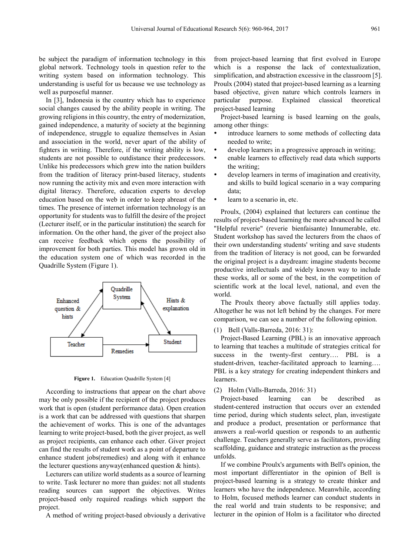be subject the paradigm of information technology in this global network. Technology tools in question refer to the writing system based on information technology. This understanding is useful for us because we use technology as well as purposeful manner.

In [3], Indonesia is the country which has to experience social changes caused by the ability people in writing. The growing religions in this country, the entry of modernization, gained independence, a maturity of society at the beginning of independence, struggle to equalize themselves in Asian and association in the world, never apart of the ability of fighters in writing. Therefore, if the writing ability is low, students are not possible to outdistance their predecessors. Unlike his predecessors which grew into the nation builders from the tradition of literacy print-based literacy, students now running the activity mix and even more interaction with digital literacy. Therefore, education experts to develop education based on the web in order to keep abreast of the times. The presence of internet information technology is an opportunity for students was to fulfill the desire of the project (Lecturer itself, or in the particular institution) the search for information. On the other hand, the giver of the project also can receive feedback which opens the possibility of improvement for both parties. This model has grown old in the education system one of which was recorded in the Quadrille System (Figure 1).



Figure 1. Education Quadrille System [4]

According to instructions that appear on the chart above may be only possible if the recipient of the project produces work that is open (student performance data). Open creation is a work that can be addressed with questions that sharpen the achievement of works. This is one of the advantages learning to write project-based, both the giver project, as well as project recipients, can enhance each other. Giver project can find the results of student work as a point of departure to enhance student jobs(remedies) and along with it enhance the lecturer questions anyway(enhanced question & hints).

Lecturers can utilize world students as a source of learning to write. Task lecturer no more than guides: not all students reading sources can support the objectives. Writes project-based only required readings which support the project.

A method of writing project-based obviously a derivative

from project-based learning that first evolved in Europe which is a response the lack of contextualization, simplification, and abstraction excessive in the classroom [5]. Proulx (2004) stated that project-based learning as a learning based objective, given nature which controls learners in particular purpose. Explained classical theoretical project-based learning

Project-based learning is based learning on the goals, among other things:

- introduce learners to some methods of collecting data needed to write;
- develop learners in a progressive approach in writing;
- enable learners to effectively read data which supports the writing;
- develop learners in terms of imagination and creativity, and skills to build logical scenario in a way comparing data;
- learn to a scenario in, etc.

Proulx, (2004) explained that lecturers can continue the results of project-based learning the more advanced he called "Helpful reverie" (reverie bienfaisante) Innumerable, etc. Student workshop has saved the lecturers from the chaos of their own understanding students' writing and save students from the tradition of literacy is not good, can be forwarded the original project is a daydream: imagine students become productive intellectuals and widely known way to include these works, all or some of the best, in the competition of scientific work at the local level, national, and even the world.

The Proulx theory above factually still applies today. Altogether he was not left behind by the changes. For mere comparison, we can see a number of the following opinion.

(1) Bell (Valls-Barreda, 2016: 31):

Project-Based Learning (PBL) is an innovative approach to learning that teaches a multitude of strategies critical for success in the twenty-first century.... PBL is a student-driven, teacher-facilitated approach to learning…. PBL is a key strategy for creating independent thinkers and learners.

(2) Holm (Valls-Barreda, 2016: 31)

Project-based learning can be described as student-centered instruction that occurs over an extended time period, during which students select, plan, investigate and produce a product, presentation or performance that answers a real-world question or responds to an authentic challenge. Teachers generally serve as facilitators, providing scaffolding, guidance and strategic instruction as the process unfolds.

If we combine Proulx's arguments with Bell's opinion, the most important differentiator in the opinion of Bell is project-based learning is a strategy to create thinker and learners who have the independence. Meanwhile, according to Holm, focused methods learner can conduct students in the real world and train students to be responsive; and lecturer in the opinion of Holm is a facilitator who directed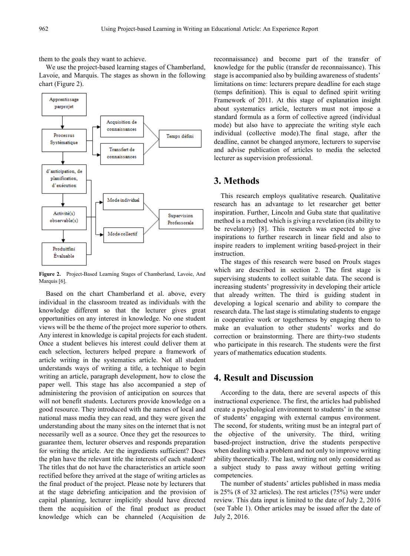them to the goals they want to achieve.

We use the project-based learning stages of Chamberland, Lavoie, and Marquis. The stages as shown in the following chart (Figure 2).



**Figure 2.** Project-Based Learning Stages of Chamberland, Lavoie, And Marquis [6].

Based on the chart Chamberland et al. above, every individual in the classroom treated as individuals with the knowledge different so that the lecturer gives great opportunities on any interest in knowledge. No one student views will be the theme of the project more superior to others. Any interest in knowledge is capital projects for each student. Once a student believes his interest could deliver them at each selection, lecturers helped prepare a framework of article writing in the systematics article. Not all student understands ways of writing a title, a technique to begin writing an article, paragraph development, how to close the paper well. This stage has also accompanied a step of administering the provision of anticipation on sources that will not benefit students. Lecturers provide knowledge on a good resource. They introduced with the names of local and national mass media they can read, and they were given the understanding about the many sites on the internet that is not necessarily well as a source. Once they get the resources to guarantee them, lecturer observes and responds preparation for writing the article. Are the ingredients sufficient? Does the plan have the relevant title the interests of each student? The titles that do not have the characteristics an article soon rectified before they arrived at the stage of writing articles as the final product of the project. Please note by lecturers that at the stage debriefing anticipation and the provision of capital planning, lecturer implicitly should have directed them the acquisition of the final product as product knowledge which can be channeled (Acquisition de

reconnaissance) and become part of the transfer of knowledge for the public (transfer de reconnaissance). This stage is accompanied also by building awareness of students' limitations on time: lecturers prepare deadline for each stage (temps definition). This is equal to defined spirit writing Framework of 2011. At this stage of explanation insight about systematics article, lecturers must not impose a standard formula as a form of collective agreed (individual mode) but also have to appreciate the writing style each individual (collective mode).The final stage, after the deadline, cannot be changed anymore, lecturers to supervise and advise publication of articles to media the selected lecturer as supervision professional.

### **3. Methods**

This research employs qualitative research. Qualitative research has an advantage to let researcher get better inspiration. Further, Lincoln and Guba state that qualitative method is a method which is giving a revelation (its ability to be revelatory) [8]. This research was expected to give inspirations to further research in linear field and also to inspire readers to implement writing based-project in their instruction.

The stages of this research were based on Proulx stages which are described in section 2. The first stage is supervising students to collect suitable data. The second is increasing students' progressivity in developing their article that already written. The third is guiding student in developing a logical scenario and ability to compare the research data. The last stage is stimulating students to engage in cooperative work or togetherness by engaging them to make an evaluation to other students' works and do correction or brainstorming. There are thirty-two students who participate in this research. The students were the first years of mathematics education students.

## **4. Result and Discussion**

According to the data, there are several aspects of this instructional experience. The first, the articles had published create a psychological environment to students' in the sense of students' engaging with external campus environment. The second, for students, writing must be an integral part of the objective of the university. The third, writing based-project instruction, drive the students perspective when dealing with a problem and not only to improve writing ability theoretically. The last, writing not only considered as a subject study to pass away without getting writing competencies.

The number of students' articles published in mass media is 25% (8 of 32 articles). The rest articles (75%) were under review. This data input is limited to the date of July 2, 2016 (see Table 1). Other articles may be issued after the date of July 2, 2016.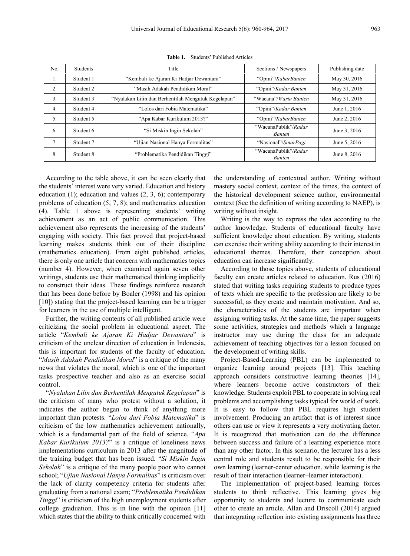| No.            | <b>Students</b> | Title                                               | Sections / Newspapers                 | Publishing date |
|----------------|-----------------|-----------------------------------------------------|---------------------------------------|-----------------|
| -1.            | Student 1       | "Kembali ke Ajaran Ki Hadjar Dewantara"             | "Opini"/KabarBanten                   | May 30, 2016    |
| 2.             | Student 2       | "Masih Adakah Pendidikan Moral"                     | "Opini"/Kadar Banten                  | May 31, 2016    |
| 3.             | Student 3       | "Nyalakan Lilin dan Berhentilah Mengutuk Kegelapan" | "Wacana"/ <i>Warta Banten</i>         | May 31, 2016    |
| 4.             | Student 4       | "Lolos dari Fobia Matematika"                       | "Opini"/Kadar Banten                  | June 1, 2016    |
| 5.             | Student 5       | "Apa Kabar Kurikulum 2013?"                         | "Opini"/KabarBanten                   | June 2, 2016    |
| 6.             | Student 6       | "Si Miskin Ingin Sekolah"                           | "WacanaPublik"/Radar<br><b>Banten</b> | June 3, 2016    |
| 7 <sub>1</sub> | Student 7       | "Ujian Nasional Hanya Formalitas"                   | "Nasional"/SinarPagi                  | June 5, 2016    |
| 8.             | Student 8       | "Problematika Pendidikan Tinggi"                    | "WacanaPublik"/Radar<br><b>Banten</b> | June 8, 2016    |

**Table 1.** Students' Published Articles

According to the table above, it can be seen clearly that the students' interest were very varied. Education and history education (1); education and values (2, 3, 6); contemporary problems of education (5, 7, 8); and mathematics education (4). Table 1 above is representing students' writing achievement as an act of public communication. This achievement also represents the increasing of the students' engaging with society. This fact proved that project-based learning makes students think out of their discipline (mathematics education). From eight published articles, there is only one article that concern with mathematics topics (number 4). However, when examined again seven other writings, students use their mathematical thinking implicitly to construct their ideas. These findings reinforce research that has been done before by Boaler (1998) and his opinion [10]) stating that the project-based learning can be a trigger for learners in the use of multiple intelligent.

Further, the writing contents of all published article were criticizing the social problem in educational aspect. The article "*Kembali ke Ajaran Ki Hadjar Dewantara*" is criticism of the unclear direction of education in Indonesia, this is important for students of the faculty of education. "*Masih Adakah Pendidikan Moral*" is a critique of the many news that violates the moral, which is one of the important tasks prospective teacher and also as an exercise social control.

"*Nyalakan Lilin dan Berhentilah Mengutuk Kegelapan*" is the criticism of many who protest without a solution, it indicates the author began to think of anything more important than protests. "*Lolos dari Fobia Matematika*" is criticism of the low mathematics achievement nationally, which is a fundamental part of the field of science. "*Apa Kabar Kurikulum 2013?*" is a critique of loneliness news implementations curriculum in 2013 after the magnitude of the training budget that has been issued. "*Si Miskin Ingin Sekolah*" is a critique of the many people poor who cannot school; "*Ujian Nasional Hanya Formalitas*" is criticism over the lack of clarity competency criteria for students after graduating from a national exam; "*Problematika Pendidikan Tinggi*" is criticism of the high unemployment students after college graduation. This is in line with the opinion [11] which states that the ability to think critically concerned with

the understanding of contextual author. Writing without mastery social context, context of the times, the context of the historical development science author, environmental context (See the definition of writing according to NAEP), is writing without insight.

Writing is the way to express the idea according to the author knowledge. Students of educational faculty have sufficient knowledge about education. By writing, students can exercise their writing ability according to their interest in educational themes. Therefore, their conception about education can increase significantly.

According to those topics above, students of educational faculty can create articles related to education. Rus (2016) stated that writing tasks requiring students to produce types of texts which are specific to the profession are likely to be successful, as they create and maintain motivation. And so, the characteristics of the students are important when assigning writing tasks. At the same time, the paper suggests some activities, strategies and methods which a language instructor may use during the class for an adequate achievement of teaching objectives for a lesson focused on the development of writing skills.

Project-Based-Learning (PBL) can be implemented to organize learning around projects [13]. This teaching approach considers constructive learning theories [14], where learners become active constructors of their knowledge. Students exploit PBL to cooperate in solving real problems and accomplishing tasks typical for world of work. It is easy to follow that PBL requires high student involvement. Producing an artifact that is of interest since others can use or view it represents a very motivating factor. It is recognized that motivation can do the difference between success and failure of a learning experience more than any other factor. In this scenario, the lecturer has a less central role and students result to be responsible for their own learning (learner-center education, while learning is the result of their interaction (learner–learner interaction).

The implementation of project-based learning forces students to think reflective. This learning gives big opportunity to students and lecture to communicate each other to create an article. Allan and Driscoll (2014) argued that integrating reflection into existing assignments has three